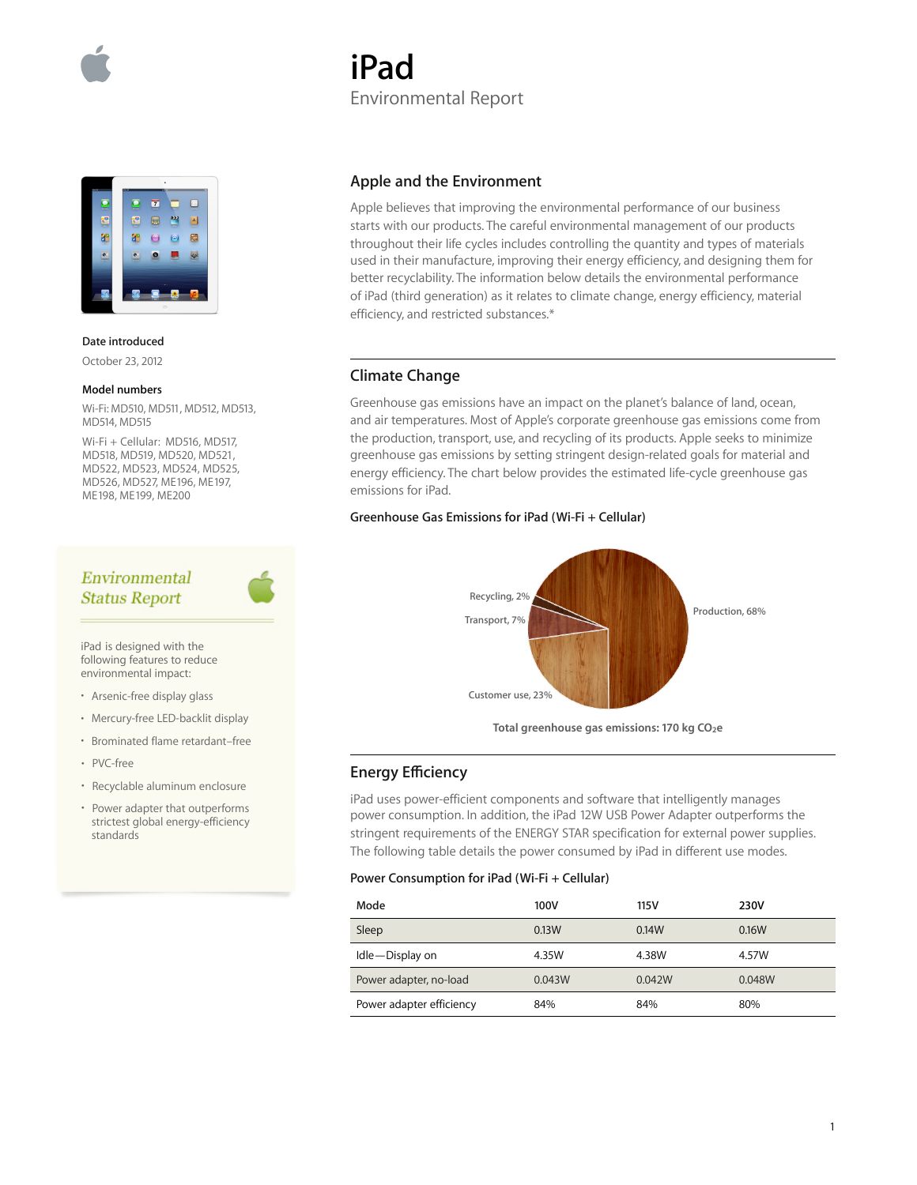



**Date introduced**

October 23, 2012

#### **Model numbers**

Wi-Fi: MD510, MD511, MD512, MD513, MD514, MD515

Wi-Fi + Cellular: MD516, MD517, MD518, MD519, MD520, MD521, MD522, MD523, MD524, MD525, MD526, MD527, ME196, ME197, ME198, ME199, ME200

# Environmental **Status Report**

iPad is designed with the following features to reduce environmental impact:

- Arsenic-free display glass
- Mercury-free LED-backlit display
- Brominated flame retardant–free
- PVC-free
- Recyclable aluminum enclosure
- Power adapter that outperforms strictest global energy-efficiency standards

### **Apple and the Environment**

Environmental Report

Apple believes that improving the environmental performance of our business starts with our products. The careful environmental management of our products throughout their life cycles includes controlling the quantity and types of materials used in their manufacture, improving their energy efficiency, and designing them for better recyclability. The information below details the environmental performance of iPad (third generation) as it relates to climate change, energy efficiency, material efficiency, and restricted substances.\*

### **Climate Change**

**iPad** 

Greenhouse gas emissions have an impact on the planet's balance of land, ocean, and air temperatures. Most of Apple's corporate greenhouse gas emissions come from the production, transport, use, and recycling of its products. Apple seeks to minimize greenhouse gas emissions by setting stringent design-related goals for material and energy efficiency. The chart below provides the estimated life-cycle greenhouse gas emissions for iPad.

### **Greenhouse Gas Emissions for iPad (Wi-Fi + Cellular)**



Total greenhouse gas emissions: 170 kg CO<sub>2</sub>e

## **Energy Efficiency**

iPad uses power-efficient components and software that intelligently manages power consumption. In addition, the iPad 12W USB Power Adapter outperforms the stringent requirements of the ENERGY STAR specification for external power supplies. The following table details the power consumed by iPad in different use modes.

### **Power Consumption for iPad (Wi-Fi + Cellular)**

| Mode                     | 100V   | 115 V  | 230V   |
|--------------------------|--------|--------|--------|
| Sleep                    | 0.13W  | 0.14W  | 0.16W  |
| Idle-Display on          | 4.35W  | 4.38W  | 4.57W  |
| Power adapter, no-load   | 0.043W | 0.042W | 0.048W |
| Power adapter efficiency | 84%    | 84%    | 80%    |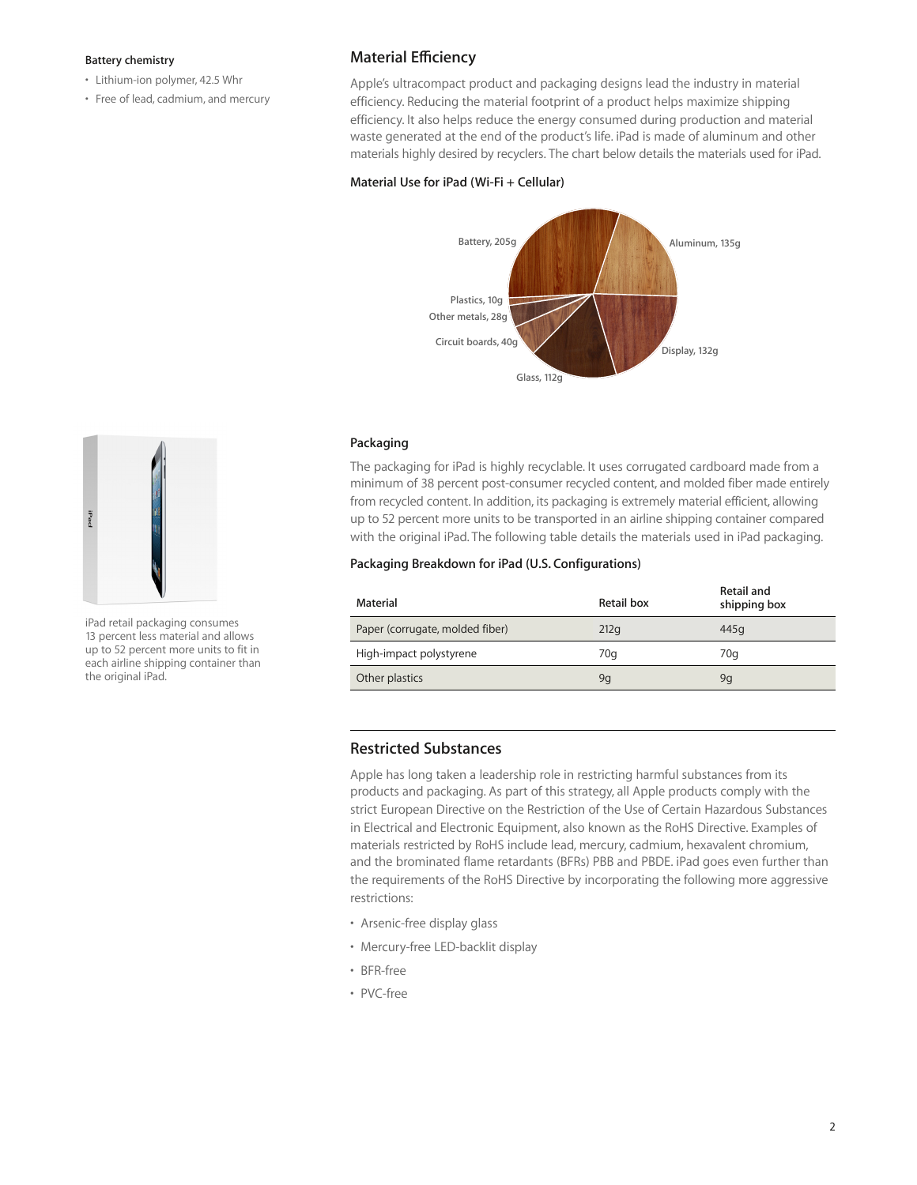### **Battery chemistry**

- Lithium-ion polymer, 42.5 Whr
- Free of lead, cadmium, and mercury

## **Material Efficiency**

Apple's ultracompact product and packaging designs lead the industry in material efficiency. Reducing the material footprint of a product helps maximize shipping efficiency. It also helps reduce the energy consumed during production and material waste generated at the end of the product's life. iPad is made of aluminum and other materials highly desired by recyclers. The chart below details the materials used for iPad.

### **Material Use for iPad (Wi-Fi + Cellular)**



### **Packaging**

The packaging for iPad is highly recyclable. It uses corrugated cardboard made from a minimum of 38 percent post-consumer recycled content, and molded fiber made entirely from recycled content. In addition, its packaging is extremely material efficient, allowing up to 52 percent more units to be transported in an airline shipping container compared with the original iPad. The following table details the materials used in iPad packaging.

### **Packaging Breakdown for iPad (U.S. Configurations)**

| Material                        | Retail box | Retail and<br>shipping box |
|---------------------------------|------------|----------------------------|
| Paper (corrugate, molded fiber) | 212q       | 445g                       |
| High-impact polystyrene         | 70g        | 70 <sub>a</sub>            |
| Other plastics                  | 9g         | 9q                         |

## **Restricted Substances**

Apple has long taken a leadership role in restricting harmful substances from its products and packaging. As part of this strategy, all Apple products comply with the strict European Directive on the Restriction of the Use of Certain Hazardous Substances in Electrical and Electronic Equipment, also known as the RoHS Directive. Examples of materials restricted by RoHS include lead, mercury, cadmium, hexavalent chromium, and the brominated flame retardants (BFRs) PBB and PBDE. iPad goes even further than the requirements of the RoHS Directive by incorporating the following more aggressive restrictions:

- Arsenic-free display glass
- Mercury-free LED-backlit display
- BFR-free
- PVC-free



iPad retail packaging consumes 13 percent less material and allows up to 52 percent more units to fit in each airline shipping container than the original iPad.